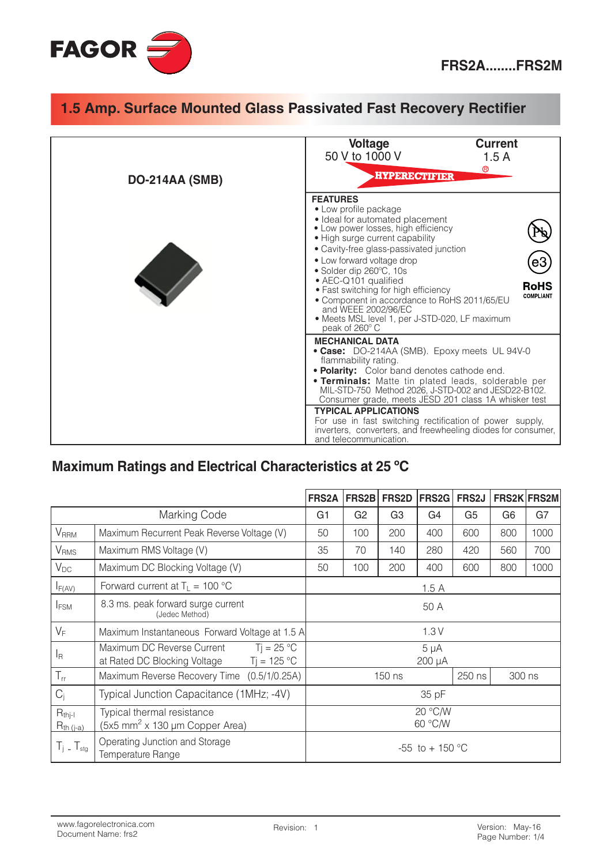

| <b>DO-214AA (SMB)</b> | <b>Current</b><br><b>Voltage</b><br>50 V to 1000 V<br>1.5A<br>$^\circledR$<br><b>HYPERECTIFIER</b>                                                                                                                                                                                                                                                                                                                                                                                                              |
|-----------------------|-----------------------------------------------------------------------------------------------------------------------------------------------------------------------------------------------------------------------------------------------------------------------------------------------------------------------------------------------------------------------------------------------------------------------------------------------------------------------------------------------------------------|
|                       | <b>FEATURES</b><br>• Low profile package<br>• Ideal for automated placement<br>• Low power losses, high efficiency<br>• High surge current capability<br>• Cavity-free glass-passivated junction<br>• Low forward voltage drop<br>eЗ<br>• Solder dip 260°C, 10s<br>• AEC-Q101 qualified<br><b>RoHS</b><br>• Fast switching for high efficiency<br><b>COMPLIANT</b><br>• Component in accordance to RoHS 2011/65/EU<br>and WEEE 2002/96/EC<br>· Meets MSL level 1, per J-STD-020, LF maximum<br>peak of 260° C   |
|                       | <b>MECHANICAL DATA</b><br>• Case: DO-214AA (SMB). Epoxy meets UL 94V-0<br>flammability rating.<br>• Polarity: Color band denotes cathode end.<br><b>• Terminals:</b> Matte tin plated leads, solderable per<br>MIL-STD-750 Method 2026, J-STD-002 and JESD22-B102.<br>Consumer grade, meets JESD 201 class 1A whisker test<br><b>TYPICAL APPLICATIONS</b><br>For use in fast switching rectification of power supply,<br>inverters, converters, and freewheeling diodes for consumer,<br>and telecommunication. |

#### Maximum Ratings and Electrical Characteristics at 25 °C

|                               |                                                                                             | <b>FRS2A</b>        | FRS2B              | <b>FRS2D</b>   | <b>FRS2G</b> | FRS2J          |                | FRS2K FRS2M |
|-------------------------------|---------------------------------------------------------------------------------------------|---------------------|--------------------|----------------|--------------|----------------|----------------|-------------|
| Marking Code                  |                                                                                             | G <sub>1</sub>      | G <sub>2</sub>     | G <sub>3</sub> | G4           | G <sub>5</sub> | G <sub>6</sub> | G7          |
| <b>V</b> <sub>RRM</sub>       | Maximum Recurrent Peak Reverse Voltage (V)                                                  |                     | 100                | 200            | 400          | 600            | 800            | 1000        |
| V <sub>RMS</sub>              | Maximum RMS Voltage (V)                                                                     |                     | 70                 | 140            | 280          | 420            | 560            | 700         |
| $V_{DC}$                      | Maximum DC Blocking Voltage (V)                                                             |                     | 100                | 200            | 400          | 600            | 800            | 1000        |
| $I_{F(AV)}$                   | Forward current at $T_L = 100 °C$                                                           |                     | 1.5A               |                |              |                |                |             |
| <b>IFSM</b>                   | 8.3 ms. peak forward surge current<br>(Jedec Method)                                        |                     | 50 A               |                |              |                |                |             |
| $V_F$                         | Maximum Instantaneous Forward Voltage at 1.5 A                                              |                     |                    |                | 1.3V         |                |                |             |
| <sup>I</sup> R                | $Ti = 25 °C$<br>Maximum DC Reverse Current<br>$Ti = 125 °C$<br>at Rated DC Blocking Voltage | $5 \mu A$<br>200 µA |                    |                |              |                |                |             |
| $T_{rr}$                      | Maximum Reverse Recovery Time (0.5/1/0.25A)                                                 |                     |                    | $150$ ns       |              | 250 ns         | 300 ns         |             |
| $C_i$                         | Typical Junction Capacitance (1MHz; -4V)                                                    |                     | 35 pF              |                |              |                |                |             |
| $R_{thi-l}$<br>$R_{th (i-a)}$ | Typical thermal resistance<br>(5x5 mm <sup>2</sup> x 130 µm Copper Area)                    |                     | 20 °C/W<br>60 °C/W |                |              |                |                |             |
| $T_i$ – $T_{\text{stg}}$      | Operating Junction and Storage<br>Temperature Range                                         | $-55$ to $+150$ °C  |                    |                |              |                |                |             |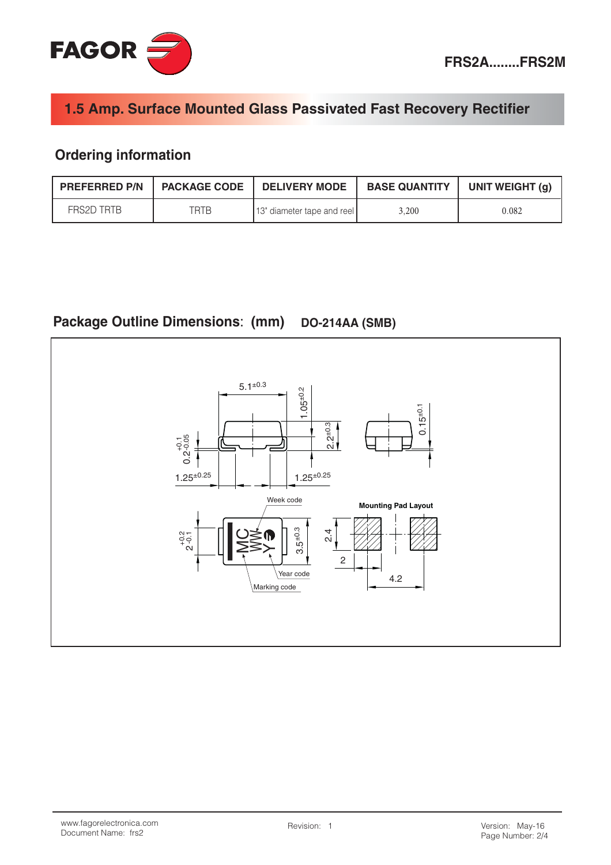## **Ordering information**

| <b>PREFERRED P/N   PACKAGE CODE</b> |      | <b>DELIVERY MODE</b>       | <b>BASE QUANTITY</b> | UNIT WEIGHT (g) |
|-------------------------------------|------|----------------------------|----------------------|-----------------|
| FRS2D TRTB                          | TRTB | 13" diameter tape and reel | 3.200                | 0.082           |

#### **Package Outline Dimensions: (mm) DO-214AA (SMB)**

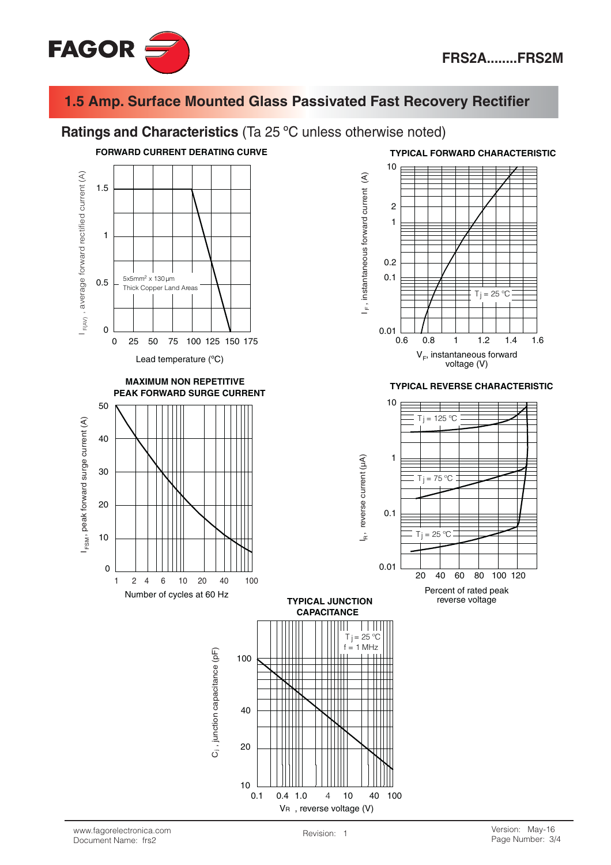

#### Ratings and Characteristics (Ta 25 °C unless otherwise noted)



**TYPICAL FORWARD CHARACTERISTIC** 



#### **TYPICAL REVERSE CHARACTERISTIC**



Percent of rated peak reverse voltage

 $\overline{4}$  $10$ 

VR, reverse voltage (V)

40 100

 $0.1$ 

 $0.4$  $1.0$